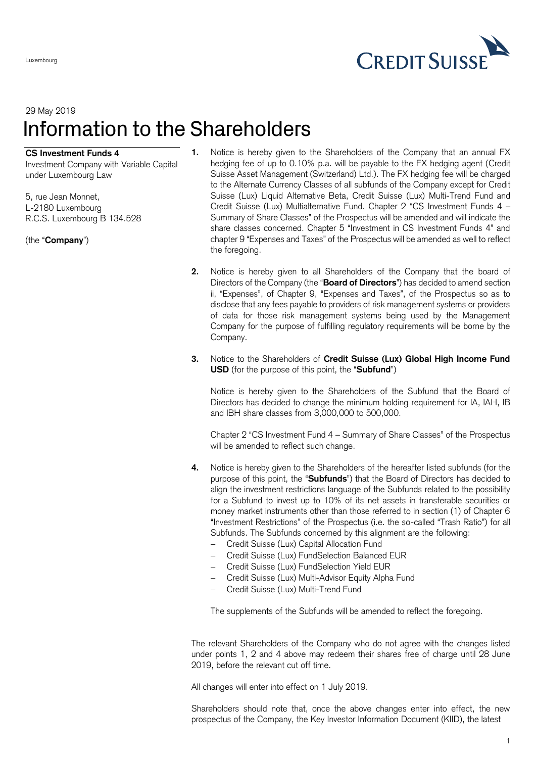

## 29 May 2019 Information to the Shareholders

## **CS Investment Funds 4**

Luxembourg

Investment Company with Variable Capital under Luxembourg Law

5, rue Jean Monnet, L-2180 Luxembourg R.C.S. Luxembourg B 134.528

(the "**Company**")

- **1.** Notice is hereby given to the Shareholders of the Company that an annual FX hedging fee of up to 0.10% p.a. will be payable to the FX hedging agent (Credit Suisse Asset Management (Switzerland) Ltd.). The FX hedging fee will be charged to the Alternate Currency Classes of all subfunds of the Company except for Credit Suisse (Lux) Liquid Alternative Beta, Credit Suisse (Lux) Multi-Trend Fund and Credit Suisse (Lux) Multialternative Fund. Chapter 2 "CS Investment Funds 4 – Summary of Share Classes" of the Prospectus will be amended and will indicate the share classes concerned. Chapter 5 "Investment in CS Investment Funds 4" and chapter 9 "Expenses and Taxes" of the Prospectus will be amended as well to reflect the foregoing.
- **2.** Notice is hereby given to all Shareholders of the Company that the board of Directors of the Company (the "**Board of Directors**") has decided to amend section ii, "Expenses", of Chapter 9, "Expenses and Taxes", of the Prospectus so as to disclose that any fees payable to providers of risk management systems or providers of data for those risk management systems being used by the Management Company for the purpose of fulfilling regulatory requirements will be borne by the Company.
- **3.** Notice to the Shareholders of **Credit Suisse (Lux) Global High Income Fund USD** (for the purpose of this point, the "**Subfund**")

Notice is hereby given to the Shareholders of the Subfund that the Board of Directors has decided to change the minimum holding requirement for IA, IAH, IB and IBH share classes from 3,000,000 to 500,000.

Chapter 2 "CS Investment Fund 4 – Summary of Share Classes" of the Prospectus will be amended to reflect such change.

- **4.** Notice is hereby given to the Shareholders of the hereafter listed subfunds (for the purpose of this point, the "**Subfunds**") that the Board of Directors has decided to align the investment restrictions language of the Subfunds related to the possibility for a Subfund to invest up to 10% of its net assets in transferable securities or money market instruments other than those referred to in section (1) of Chapter 6 "Investment Restrictions" of the Prospectus (i.e. the so-called "Trash Ratio") for all Subfunds. The Subfunds concerned by this alignment are the following:
	- Credit Suisse (Lux) Capital Allocation Fund
	- Credit Suisse (Lux) FundSelection Balanced EUR
	- Credit Suisse (Lux) FundSelection Yield EUR
	- Credit Suisse (Lux) Multi-Advisor Equity Alpha Fund
	- Credit Suisse (Lux) Multi-Trend Fund

The supplements of the Subfunds will be amended to reflect the foregoing.

The relevant Shareholders of the Company who do not agree with the changes listed under points 1, 2 and 4 above may redeem their shares free of charge until 28 June 2019, before the relevant cut off time.

All changes will enter into effect on 1 July 2019.

Shareholders should note that, once the above changes enter into effect, the new prospectus of the Company, the Key Investor Information Document (KIID), the latest